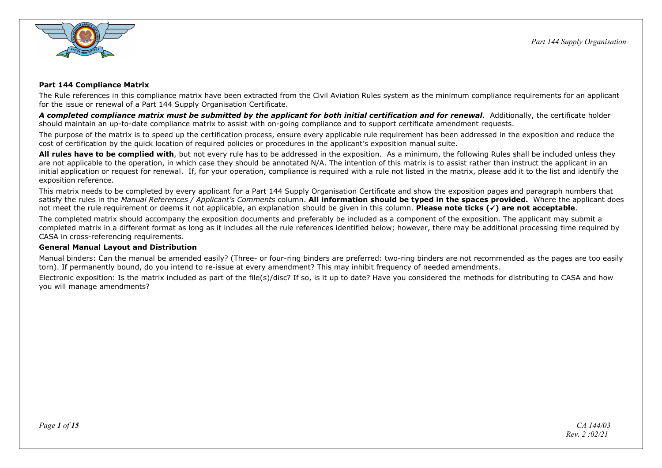

## **Part 144 Compliance Matrix**

The Rule references in this compliance matrix have been extracted from the Civil Aviation Rules system as the minimum compliance requirements for an applicant for the issue or renewal of a Part 144 Supply Organisation Certificate.

*A completed compliance matrix must be submitted by the applicant for both initial certification and for renewal*. Additionally, the certificate holder should maintain an up-to-date compliance matrix to assist with on-going compliance and to support certificate amendment requests.

The purpose of the matrix is to speed up the certification process, ensure every applicable rule requirement has been addressed in the exposition and reduce the cost of certification by the quick location of required policies or procedures in the applicant's exposition manual suite.

**All rules have to be complied with**, but not every rule has to be addressed in the exposition. As a minimum, the following Rules shall be included unless they are not applicable to the operation, in which case they should be annotated N/A. The intention of this matrix is to assist rather than instruct the applicant in an initial application or request for renewal. If, for your operation, compliance is required with a rule not listed in the matrix, please add it to the list and identify the exposition reference.

This matrix needs to be completed by every applicant for a Part 144 Supply Organisation Certificate and show the exposition pages and paragraph numbers that satisfy the rules in the *Manual References / Applicant's Comments* column. **All information should be typed in the spaces provided.** Where the applicant does not meet the rule requirement or deems it not applicable, an explanation should be given in this column. **Please note ticks () are not acceptable**.

The completed matrix should accompany the exposition documents and preferably be included as a component of the exposition. The applicant may submit a completed matrix in a different format as long as it includes all the rule references identified below; however, there may be additional processing time required by CASA in cross-referencing requirements.

## **General Manual Layout and Distribution**

Manual binders: Can the manual be amended easily? (Three- or four-ring binders are preferred: two-ring binders are not recommended as the pages are too easily torn). If permanently bound, do you intend to re-issue at every amendment? This may inhibit frequency of needed amendments.

Electronic exposition: Is the matrix included as part of the file(s)/disc? If so, is it up to date? Have you considered the methods for distributing to CASA and how you will manage amendments?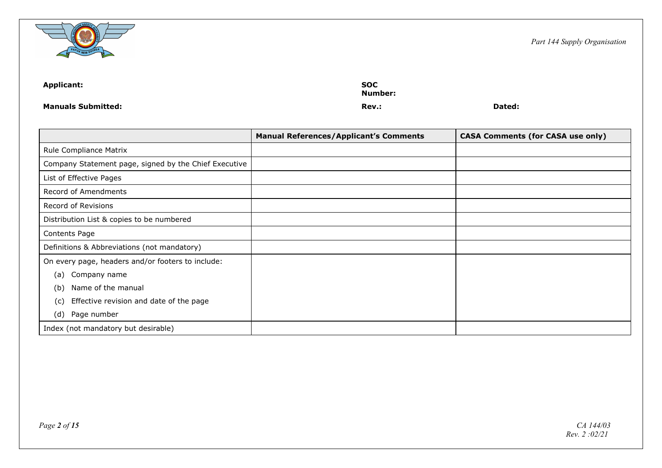

| Applicant:                | <b>SOC</b><br>Number: |        |
|---------------------------|-----------------------|--------|
| <b>Manuals Submitted:</b> | Rev.:                 | Dated: |

|                                                       | <b>Manual References/Applicant's Comments</b> | <b>CASA Comments (for CASA use only)</b> |
|-------------------------------------------------------|-----------------------------------------------|------------------------------------------|
| Rule Compliance Matrix                                |                                               |                                          |
| Company Statement page, signed by the Chief Executive |                                               |                                          |
| List of Effective Pages                               |                                               |                                          |
| Record of Amendments                                  |                                               |                                          |
| Record of Revisions                                   |                                               |                                          |
| Distribution List & copies to be numbered             |                                               |                                          |
| Contents Page                                         |                                               |                                          |
| Definitions & Abbreviations (not mandatory)           |                                               |                                          |
| On every page, headers and/or footers to include:     |                                               |                                          |
| Company name<br>(a)                                   |                                               |                                          |
| Name of the manual<br>(b)                             |                                               |                                          |
| Effective revision and date of the page<br>(c)        |                                               |                                          |
| (d)<br>Page number                                    |                                               |                                          |
| Index (not mandatory but desirable)                   |                                               |                                          |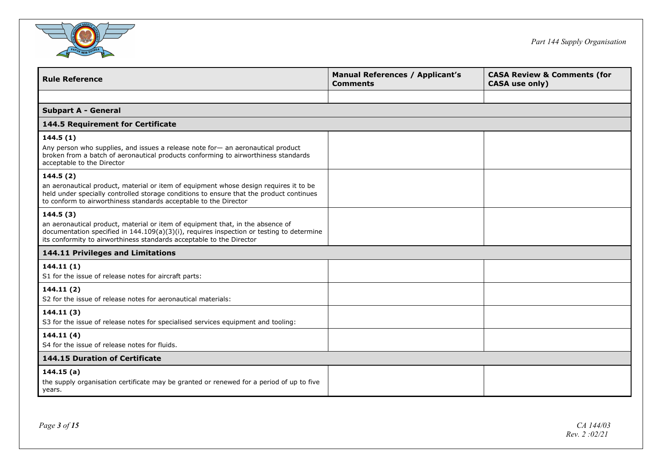

| <b>Rule Reference</b>                                                                                                                                                                                                                                | <b>Manual References / Applicant's</b><br><b>Comments</b> | <b>CASA Review &amp; Comments (for</b><br>CASA use only) |
|------------------------------------------------------------------------------------------------------------------------------------------------------------------------------------------------------------------------------------------------------|-----------------------------------------------------------|----------------------------------------------------------|
|                                                                                                                                                                                                                                                      |                                                           |                                                          |
| <b>Subpart A - General</b>                                                                                                                                                                                                                           |                                                           |                                                          |
| 144.5 Requirement for Certificate                                                                                                                                                                                                                    |                                                           |                                                          |
| 144.5(1)                                                                                                                                                                                                                                             |                                                           |                                                          |
| Any person who supplies, and issues a release note for — an aeronautical product<br>broken from a batch of aeronautical products conforming to airworthiness standards<br>acceptable to the Director                                                 |                                                           |                                                          |
| 144.5(2)                                                                                                                                                                                                                                             |                                                           |                                                          |
| an aeronautical product, material or item of equipment whose design requires it to be<br>held under specially controlled storage conditions to ensure that the product continues<br>to conform to airworthiness standards acceptable to the Director |                                                           |                                                          |
| 144.5(3)                                                                                                                                                                                                                                             |                                                           |                                                          |
| an aeronautical product, material or item of equipment that, in the absence of<br>documentation specified in 144.109(a)(3)(i), requires inspection or testing to determine<br>its conformity to airworthiness standards acceptable to the Director   |                                                           |                                                          |
| 144.11 Privileges and Limitations                                                                                                                                                                                                                    |                                                           |                                                          |
| 144.11(1)<br>S1 for the issue of release notes for aircraft parts:                                                                                                                                                                                   |                                                           |                                                          |
| 144.11(2)                                                                                                                                                                                                                                            |                                                           |                                                          |
| S2 for the issue of release notes for aeronautical materials:                                                                                                                                                                                        |                                                           |                                                          |
| 144.11(3)                                                                                                                                                                                                                                            |                                                           |                                                          |
| S3 for the issue of release notes for specialised services equipment and tooling:                                                                                                                                                                    |                                                           |                                                          |
| 144.11 (4)                                                                                                                                                                                                                                           |                                                           |                                                          |
| S4 for the issue of release notes for fluids.                                                                                                                                                                                                        |                                                           |                                                          |
| <b>144.15 Duration of Certificate</b>                                                                                                                                                                                                                |                                                           |                                                          |
| 144.15(a)<br>the supply organisation certificate may be granted or renewed for a period of up to five<br>years.                                                                                                                                      |                                                           |                                                          |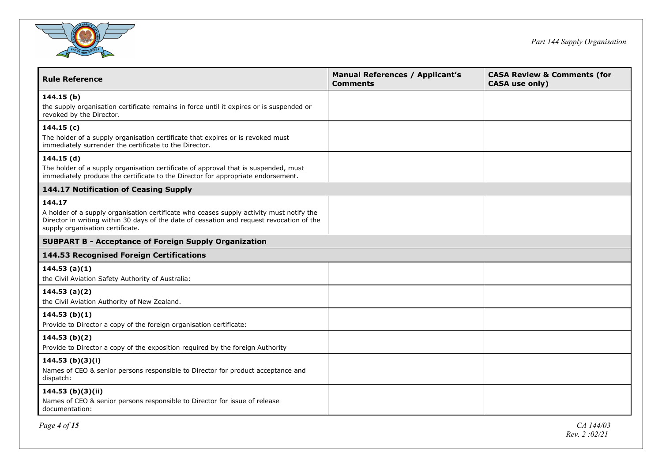

| <b>Rule Reference</b>                                                                                                                                                                                                     | <b>Manual References / Applicant's</b><br><b>Comments</b> | <b>CASA Review &amp; Comments (for</b><br><b>CASA</b> use only) |
|---------------------------------------------------------------------------------------------------------------------------------------------------------------------------------------------------------------------------|-----------------------------------------------------------|-----------------------------------------------------------------|
| 144.15(b)                                                                                                                                                                                                                 |                                                           |                                                                 |
| the supply organisation certificate remains in force until it expires or is suspended or<br>revoked by the Director.                                                                                                      |                                                           |                                                                 |
| 144.15(c)                                                                                                                                                                                                                 |                                                           |                                                                 |
| The holder of a supply organisation certificate that expires or is revoked must<br>immediately surrender the certificate to the Director.                                                                                 |                                                           |                                                                 |
| 144.15(d)                                                                                                                                                                                                                 |                                                           |                                                                 |
| The holder of a supply organisation certificate of approval that is suspended, must<br>immediately produce the certificate to the Director for appropriate endorsement.                                                   |                                                           |                                                                 |
| 144.17 Notification of Ceasing Supply                                                                                                                                                                                     |                                                           |                                                                 |
| 144.17                                                                                                                                                                                                                    |                                                           |                                                                 |
| A holder of a supply organisation certificate who ceases supply activity must notify the<br>Director in writing within 30 days of the date of cessation and request revocation of the<br>supply organisation certificate. |                                                           |                                                                 |
| <b>SUBPART B - Acceptance of Foreign Supply Organization</b>                                                                                                                                                              |                                                           |                                                                 |
| 144.53 Recognised Foreign Certifications                                                                                                                                                                                  |                                                           |                                                                 |
| 144.53(a)(1)                                                                                                                                                                                                              |                                                           |                                                                 |
| the Civil Aviation Safety Authority of Australia:                                                                                                                                                                         |                                                           |                                                                 |
| 144.53(a)(2)                                                                                                                                                                                                              |                                                           |                                                                 |
| the Civil Aviation Authority of New Zealand.                                                                                                                                                                              |                                                           |                                                                 |
| 144.53(b)(1)                                                                                                                                                                                                              |                                                           |                                                                 |
| Provide to Director a copy of the foreign organisation certificate:                                                                                                                                                       |                                                           |                                                                 |
| 144.53(b)(2)                                                                                                                                                                                                              |                                                           |                                                                 |
| Provide to Director a copy of the exposition required by the foreign Authority                                                                                                                                            |                                                           |                                                                 |
| 144.53 <sub>(b)(3)(i)</sub>                                                                                                                                                                                               |                                                           |                                                                 |
| Names of CEO & senior persons responsible to Director for product acceptance and<br>dispatch:                                                                                                                             |                                                           |                                                                 |
| 144.53 (b)(3)(ii)                                                                                                                                                                                                         |                                                           |                                                                 |
| Names of CEO & senior persons responsible to Director for issue of release<br>documentation:                                                                                                                              |                                                           |                                                                 |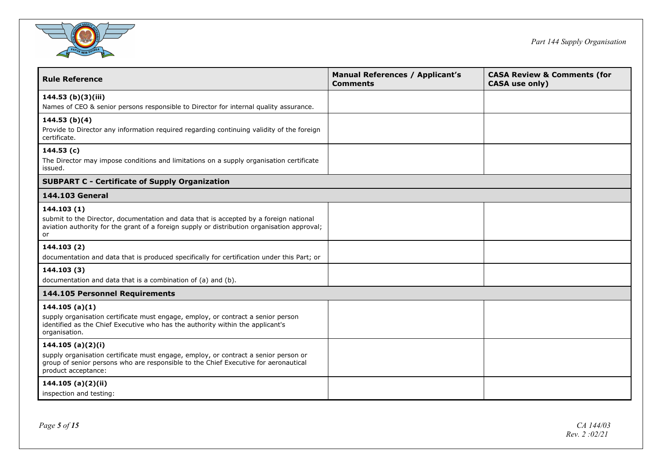

| <b>Rule Reference</b>                                                                                                                                                                                                  | <b>Manual References / Applicant's</b><br><b>Comments</b> | <b>CASA Review &amp; Comments (for</b><br><b>CASA</b> use only) |
|------------------------------------------------------------------------------------------------------------------------------------------------------------------------------------------------------------------------|-----------------------------------------------------------|-----------------------------------------------------------------|
| 144.53 (b)(3)(iii)<br>Names of CEO & senior persons responsible to Director for internal quality assurance.                                                                                                            |                                                           |                                                                 |
| 144.53(b)(4)<br>Provide to Director any information required regarding continuing validity of the foreign<br>certificate.                                                                                              |                                                           |                                                                 |
| 144.53 (c)<br>The Director may impose conditions and limitations on a supply organisation certificate<br>issued.                                                                                                       |                                                           |                                                                 |
| <b>SUBPART C - Certificate of Supply Organization</b>                                                                                                                                                                  |                                                           |                                                                 |
| 144.103 General                                                                                                                                                                                                        |                                                           |                                                                 |
| 144.103 (1)<br>submit to the Director, documentation and data that is accepted by a foreign national<br>aviation authority for the grant of a foreign supply or distribution organisation approval;<br>or              |                                                           |                                                                 |
| 144.103 (2)<br>documentation and data that is produced specifically for certification under this Part; or                                                                                                              |                                                           |                                                                 |
| 144.103 (3)<br>documentation and data that is a combination of (a) and (b).                                                                                                                                            |                                                           |                                                                 |
| 144.105 Personnel Requirements                                                                                                                                                                                         |                                                           |                                                                 |
| 144.105(a)(1)<br>supply organisation certificate must engage, employ, or contract a senior person<br>identified as the Chief Executive who has the authority within the applicant's<br>organisation.                   |                                                           |                                                                 |
| 144.105 (a)(2)(i)<br>supply organisation certificate must engage, employ, or contract a senior person or<br>group of senior persons who are responsible to the Chief Executive for aeronautical<br>product acceptance: |                                                           |                                                                 |
| 144.105 (a)(2)(ii)<br>inspection and testing:                                                                                                                                                                          |                                                           |                                                                 |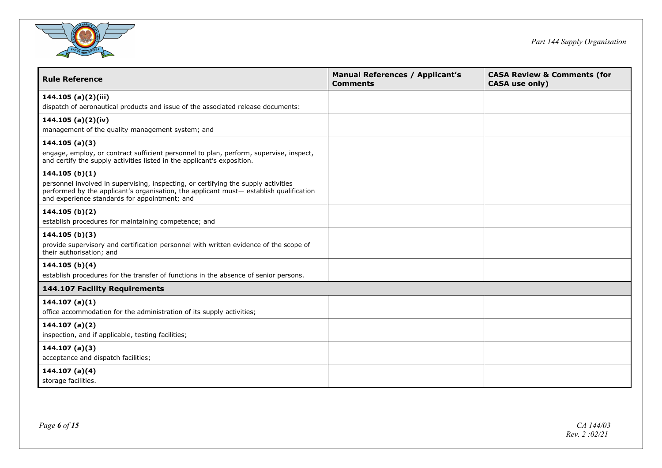

| <b>Rule Reference</b>                                                                                                                                                                                                        | <b>Manual References / Applicant's</b><br><b>Comments</b> | <b>CASA Review &amp; Comments (for</b><br><b>CASA</b> use only) |
|------------------------------------------------------------------------------------------------------------------------------------------------------------------------------------------------------------------------------|-----------------------------------------------------------|-----------------------------------------------------------------|
| 144.105 (a)(2)(iii)                                                                                                                                                                                                          |                                                           |                                                                 |
| dispatch of aeronautical products and issue of the associated release documents:                                                                                                                                             |                                                           |                                                                 |
| 144.105 (a) $(2)(iv)$                                                                                                                                                                                                        |                                                           |                                                                 |
| management of the quality management system; and                                                                                                                                                                             |                                                           |                                                                 |
| 144.105(a)(3)                                                                                                                                                                                                                |                                                           |                                                                 |
| engage, employ, or contract sufficient personnel to plan, perform, supervise, inspect,<br>and certify the supply activities listed in the applicant's exposition.                                                            |                                                           |                                                                 |
| 144.105(b)(1)                                                                                                                                                                                                                |                                                           |                                                                 |
| personnel involved in supervising, inspecting, or certifying the supply activities<br>performed by the applicant's organisation, the applicant must-establish qualification<br>and experience standards for appointment; and |                                                           |                                                                 |
| 144.105 (b)(2)                                                                                                                                                                                                               |                                                           |                                                                 |
| establish procedures for maintaining competence; and                                                                                                                                                                         |                                                           |                                                                 |
| 144.105(b)(3)                                                                                                                                                                                                                |                                                           |                                                                 |
| provide supervisory and certification personnel with written evidence of the scope of<br>their authorisation; and                                                                                                            |                                                           |                                                                 |
| 144.105(b)(4)                                                                                                                                                                                                                |                                                           |                                                                 |
| establish procedures for the transfer of functions in the absence of senior persons.                                                                                                                                         |                                                           |                                                                 |
| <b>144.107 Facility Requirements</b>                                                                                                                                                                                         |                                                           |                                                                 |
| 144.107(a)(1)                                                                                                                                                                                                                |                                                           |                                                                 |
| office accommodation for the administration of its supply activities;                                                                                                                                                        |                                                           |                                                                 |
| 144.107(a)(2)                                                                                                                                                                                                                |                                                           |                                                                 |
| inspection, and if applicable, testing facilities;                                                                                                                                                                           |                                                           |                                                                 |
| 144.107(a)(3)                                                                                                                                                                                                                |                                                           |                                                                 |
| acceptance and dispatch facilities;                                                                                                                                                                                          |                                                           |                                                                 |
| 144.107 $(a)(4)$                                                                                                                                                                                                             |                                                           |                                                                 |
| storage facilities.                                                                                                                                                                                                          |                                                           |                                                                 |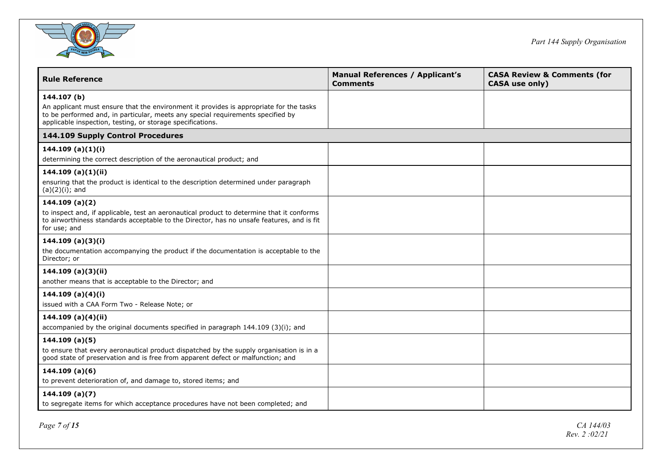

| <b>Rule Reference</b>                                                                                                                                                                                                                                  | <b>Manual References / Applicant's</b><br><b>Comments</b> | <b>CASA Review &amp; Comments (for</b><br><b>CASA</b> use only) |
|--------------------------------------------------------------------------------------------------------------------------------------------------------------------------------------------------------------------------------------------------------|-----------------------------------------------------------|-----------------------------------------------------------------|
| 144.107 (b)<br>An applicant must ensure that the environment it provides is appropriate for the tasks<br>to be performed and, in particular, meets any special requirements specified by<br>applicable inspection, testing, or storage specifications. |                                                           |                                                                 |
| 144.109 Supply Control Procedures                                                                                                                                                                                                                      |                                                           |                                                                 |
| 144.109 (a)(1)(i)<br>determining the correct description of the aeronautical product; and                                                                                                                                                              |                                                           |                                                                 |
| 144.109 (a)(1)(ii)<br>ensuring that the product is identical to the description determined under paragraph<br>$(a)(2)(i)$ ; and                                                                                                                        |                                                           |                                                                 |
| 144.109(a)(2)<br>to inspect and, if applicable, test an aeronautical product to determine that it conforms<br>to airworthiness standards acceptable to the Director, has no unsafe features, and is fit<br>for use; and                                |                                                           |                                                                 |
| 144.109 (a)(3)(i)<br>the documentation accompanying the product if the documentation is acceptable to the<br>Director; or                                                                                                                              |                                                           |                                                                 |
| 144.109(a)(3)(ii)<br>another means that is acceptable to the Director; and                                                                                                                                                                             |                                                           |                                                                 |
| 144.109 (a)(4)(i)<br>issued with a CAA Form Two - Release Note; or                                                                                                                                                                                     |                                                           |                                                                 |
| 144.109 (a) $(4)(ii)$<br>accompanied by the original documents specified in paragraph 144.109 (3)(i); and                                                                                                                                              |                                                           |                                                                 |
| 144.109(a)(5)<br>to ensure that every aeronautical product dispatched by the supply organisation is in a<br>good state of preservation and is free from apparent defect or malfunction; and                                                            |                                                           |                                                                 |
| 144.109(a)(6)<br>to prevent deterioration of, and damage to, stored items; and                                                                                                                                                                         |                                                           |                                                                 |
| 144.109(a)(7)<br>to segregate items for which acceptance procedures have not been completed; and                                                                                                                                                       |                                                           |                                                                 |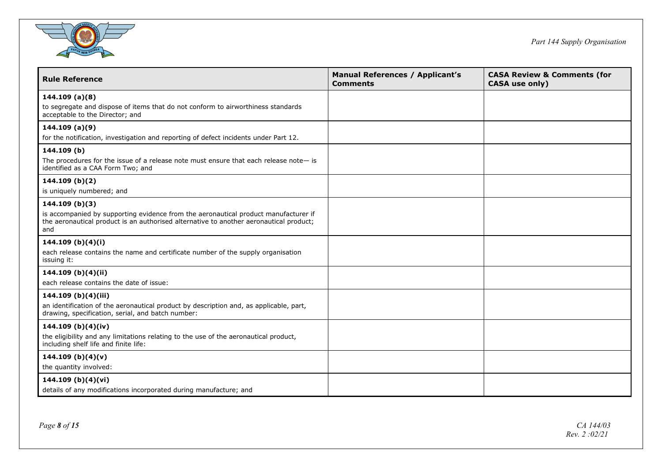

| <b>Rule Reference</b>                                                                                                                                                                                 | <b>Manual References / Applicant's</b><br><b>Comments</b> | <b>CASA Review &amp; Comments (for</b><br><b>CASA use only)</b> |
|-------------------------------------------------------------------------------------------------------------------------------------------------------------------------------------------------------|-----------------------------------------------------------|-----------------------------------------------------------------|
| 144.109(a)(8)<br>to segregate and dispose of items that do not conform to airworthiness standards<br>acceptable to the Director; and                                                                  |                                                           |                                                                 |
| 144.109(a)(9)<br>for the notification, investigation and reporting of defect incidents under Part 12.                                                                                                 |                                                           |                                                                 |
| 144.109 (b)<br>The procedures for the issue of a release note must ensure that each release note $-$ is<br>identified as a CAA Form Two; and                                                          |                                                           |                                                                 |
| 144.109 (b)(2)<br>is uniquely numbered; and                                                                                                                                                           |                                                           |                                                                 |
| 144.109(b)(3)<br>is accompanied by supporting evidence from the aeronautical product manufacturer if<br>the aeronautical product is an authorised alternative to another aeronautical product;<br>and |                                                           |                                                                 |
| 144.109 (b)(4)(i)<br>each release contains the name and certificate number of the supply organisation<br>issuing it:                                                                                  |                                                           |                                                                 |
| 144.109 (b)(4)(ii)<br>each release contains the date of issue:                                                                                                                                        |                                                           |                                                                 |
| 144.109 (b)(4)(iii)<br>an identification of the aeronautical product by description and, as applicable, part,<br>drawing, specification, serial, and batch number:                                    |                                                           |                                                                 |
| 144.109 (b)(4)(iv)<br>the eligibility and any limitations relating to the use of the aeronautical product,<br>including shelf life and finite life:                                                   |                                                           |                                                                 |
| 144.109 (b)(4)(v)<br>the quantity involved:                                                                                                                                                           |                                                           |                                                                 |
| 144.109 (b)(4)(vi)<br>details of any modifications incorporated during manufacture; and                                                                                                               |                                                           |                                                                 |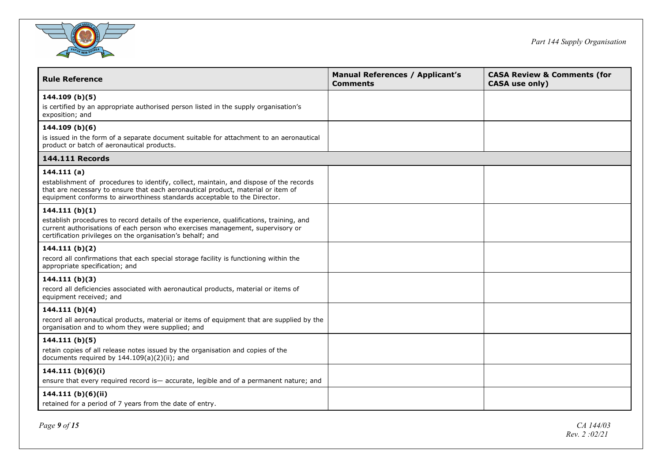

| <b>Rule Reference</b>                                                                                                                                                                                                                                                 | <b>Manual References / Applicant's</b><br><b>Comments</b> | <b>CASA Review &amp; Comments (for</b><br><b>CASA use only)</b> |
|-----------------------------------------------------------------------------------------------------------------------------------------------------------------------------------------------------------------------------------------------------------------------|-----------------------------------------------------------|-----------------------------------------------------------------|
| 144.109(b)(5)<br>is certified by an appropriate authorised person listed in the supply organisation's<br>exposition; and                                                                                                                                              |                                                           |                                                                 |
| 144.109(b)(6)<br>is issued in the form of a separate document suitable for attachment to an aeronautical<br>product or batch of aeronautical products.                                                                                                                |                                                           |                                                                 |
| <b>144.111 Records</b>                                                                                                                                                                                                                                                |                                                           |                                                                 |
| 144.111(a)<br>establishment of procedures to identify, collect, maintain, and dispose of the records<br>that are necessary to ensure that each aeronautical product, material or item of<br>equipment conforms to airworthiness standards acceptable to the Director. |                                                           |                                                                 |
| 144.111(b)(1)<br>establish procedures to record details of the experience, qualifications, training, and<br>current authorisations of each person who exercises management, supervisory or<br>certification privileges on the organisation's behalf; and              |                                                           |                                                                 |
| 144.111 $(b)(2)$<br>record all confirmations that each special storage facility is functioning within the<br>appropriate specification; and                                                                                                                           |                                                           |                                                                 |
| 144.111(b)(3)<br>record all deficiencies associated with aeronautical products, material or items of<br>equipment received; and                                                                                                                                       |                                                           |                                                                 |
| 144.111 (b)(4)<br>record all aeronautical products, material or items of equipment that are supplied by the<br>organisation and to whom they were supplied; and                                                                                                       |                                                           |                                                                 |
| 144.111(b)(5)<br>retain copies of all release notes issued by the organisation and copies of the<br>documents required by 144.109(a)(2)(ii); and                                                                                                                      |                                                           |                                                                 |
| 144.111 (b)(6)(i)<br>ensure that every required record is eccurate, legible and of a permanent nature; and                                                                                                                                                            |                                                           |                                                                 |
| 144.111 (b)(6)(ii)<br>retained for a period of 7 years from the date of entry.                                                                                                                                                                                        |                                                           |                                                                 |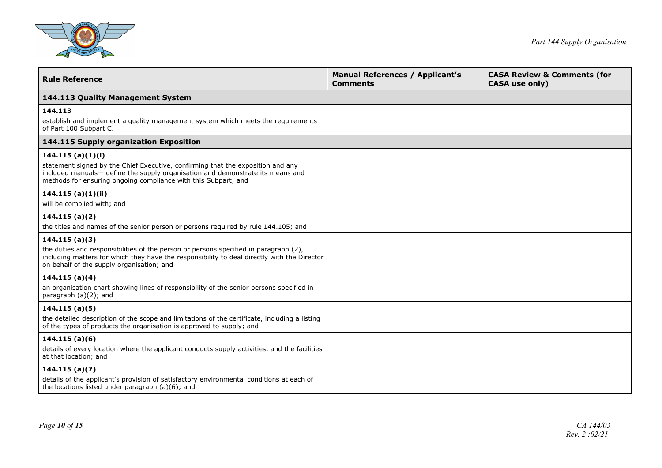

| <b>Rule Reference</b>                                                                                                                                                                                                                                   | <b>Manual References / Applicant's</b><br><b>Comments</b> | <b>CASA Review &amp; Comments (for</b><br><b>CASA</b> use only) |
|---------------------------------------------------------------------------------------------------------------------------------------------------------------------------------------------------------------------------------------------------------|-----------------------------------------------------------|-----------------------------------------------------------------|
| 144.113 Quality Management System                                                                                                                                                                                                                       |                                                           |                                                                 |
| 144.113<br>establish and implement a quality management system which meets the requirements<br>of Part 100 Subpart C.                                                                                                                                   |                                                           |                                                                 |
| 144.115 Supply organization Exposition                                                                                                                                                                                                                  |                                                           |                                                                 |
| 144.115(a)(1)(i)<br>statement signed by the Chief Executive, confirming that the exposition and any<br>included manuals- define the supply organisation and demonstrate its means and<br>methods for ensuring ongoing compliance with this Subpart; and |                                                           |                                                                 |
| 144.115(a)(1)(ii)<br>will be complied with; and                                                                                                                                                                                                         |                                                           |                                                                 |
| 144.115(a)(2)<br>the titles and names of the senior person or persons required by rule 144.105; and                                                                                                                                                     |                                                           |                                                                 |
| 144.115(a)(3)<br>the duties and responsibilities of the person or persons specified in paragraph (2),<br>including matters for which they have the responsibility to deal directly with the Director<br>on behalf of the supply organisation; and       |                                                           |                                                                 |
| 144.115(a)(4)<br>an organisation chart showing lines of responsibility of the senior persons specified in<br>paragraph $(a)(2)$ ; and                                                                                                                   |                                                           |                                                                 |
| 144.115(a)(5)<br>the detailed description of the scope and limitations of the certificate, including a listing<br>of the types of products the organisation is approved to supply; and                                                                  |                                                           |                                                                 |
| 144.115(a)(6)<br>details of every location where the applicant conducts supply activities, and the facilities<br>at that location; and                                                                                                                  |                                                           |                                                                 |
| 144.115(a)(7)<br>details of the applicant's provision of satisfactory environmental conditions at each of<br>the locations listed under paragraph (a)(6); and                                                                                           |                                                           |                                                                 |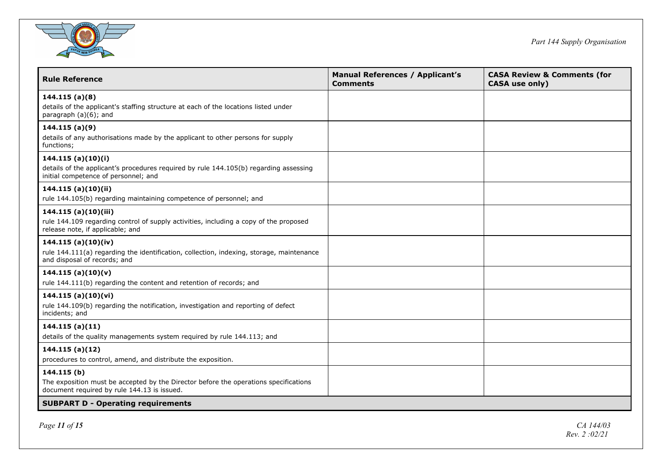

| <b>Rule Reference</b>                                                                                                                              | <b>Manual References / Applicant's</b><br><b>Comments</b> | <b>CASA Review &amp; Comments (for</b><br>CASA use only) |
|----------------------------------------------------------------------------------------------------------------------------------------------------|-----------------------------------------------------------|----------------------------------------------------------|
| 144.115(a)(8)<br>details of the applicant's staffing structure at each of the locations listed under<br>paragraph (a)(6); and                      |                                                           |                                                          |
| 144.115(a)(9)<br>details of any authorisations made by the applicant to other persons for supply<br>functions;                                     |                                                           |                                                          |
| 144.115(a)(10)(i)<br>details of the applicant's procedures required by rule 144.105(b) regarding assessing<br>initial competence of personnel; and |                                                           |                                                          |
| 144.115 (a)(10)(ii)<br>rule 144.105(b) regarding maintaining competence of personnel; and                                                          |                                                           |                                                          |
| 144.115 (a)(10)(iii)<br>rule 144.109 regarding control of supply activities, including a copy of the proposed<br>release note, if applicable; and  |                                                           |                                                          |
| 144.115 (a) $(10)(iv)$<br>rule 144.111(a) regarding the identification, collection, indexing, storage, maintenance<br>and disposal of records; and |                                                           |                                                          |
| 144.115(a)(10)(v)<br>rule 144.111(b) regarding the content and retention of records; and                                                           |                                                           |                                                          |
| 144.115(a)(10)(vi)<br>rule 144.109(b) regarding the notification, investigation and reporting of defect<br>incidents; and                          |                                                           |                                                          |
| 144.115(a)(11)<br>details of the quality managements system required by rule 144.113; and                                                          |                                                           |                                                          |
| 144.115(a)(12)<br>procedures to control, amend, and distribute the exposition.                                                                     |                                                           |                                                          |
| 144.115 (b)<br>The exposition must be accepted by the Director before the operations specifications<br>document required by rule 144.13 is issued. |                                                           |                                                          |
| <b>SUBPART D - Operating requirements</b>                                                                                                          |                                                           |                                                          |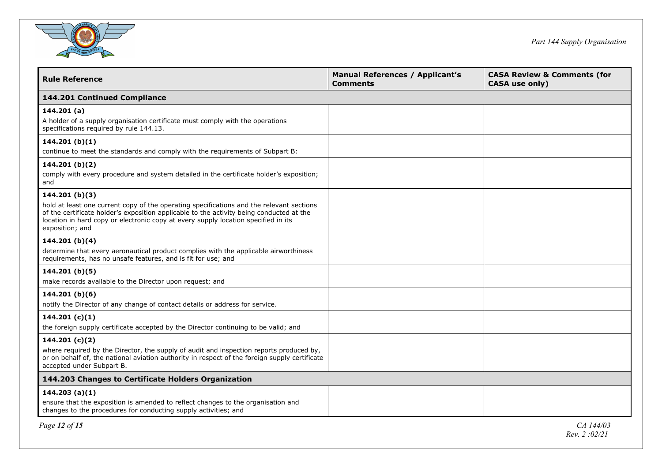

| <b>Rule Reference</b>                                                                                                                                                                                                                                                                                             | <b>Manual References / Applicant's</b><br><b>Comments</b> | <b>CASA Review &amp; Comments (for</b><br><b>CASA use only)</b> |
|-------------------------------------------------------------------------------------------------------------------------------------------------------------------------------------------------------------------------------------------------------------------------------------------------------------------|-----------------------------------------------------------|-----------------------------------------------------------------|
| 144.201 Continued Compliance                                                                                                                                                                                                                                                                                      |                                                           |                                                                 |
| 144.201(a)<br>A holder of a supply organisation certificate must comply with the operations<br>specifications required by rule 144.13.                                                                                                                                                                            |                                                           |                                                                 |
| 144.201 $(b)(1)$<br>continue to meet the standards and comply with the requirements of Subpart B:                                                                                                                                                                                                                 |                                                           |                                                                 |
| 144.201 $(b)(2)$<br>comply with every procedure and system detailed in the certificate holder's exposition;<br>and                                                                                                                                                                                                |                                                           |                                                                 |
| 144.201 $(b)(3)$<br>hold at least one current copy of the operating specifications and the relevant sections<br>of the certificate holder's exposition applicable to the activity being conducted at the<br>location in hard copy or electronic copy at every supply location specified in its<br>exposition; and |                                                           |                                                                 |
| 144.201 (b)(4)<br>determine that every aeronautical product complies with the applicable airworthiness<br>requirements, has no unsafe features, and is fit for use; and                                                                                                                                           |                                                           |                                                                 |
| 144.201 (b)(5)<br>make records available to the Director upon request; and                                                                                                                                                                                                                                        |                                                           |                                                                 |
| 144.201 (b)(6)<br>notify the Director of any change of contact details or address for service.                                                                                                                                                                                                                    |                                                           |                                                                 |
| 144.201 $(c)(1)$<br>the foreign supply certificate accepted by the Director continuing to be valid; and                                                                                                                                                                                                           |                                                           |                                                                 |
| 144.201 $(c)(2)$<br>where required by the Director, the supply of audit and inspection reports produced by,<br>or on behalf of, the national aviation authority in respect of the foreign supply certificate<br>accepted under Subpart B.                                                                         |                                                           |                                                                 |
| 144.203 Changes to Certificate Holders Organization                                                                                                                                                                                                                                                               |                                                           |                                                                 |
| 144.203(a)(1)<br>ensure that the exposition is amended to reflect changes to the organisation and<br>changes to the procedures for conducting supply activities; and                                                                                                                                              |                                                           |                                                                 |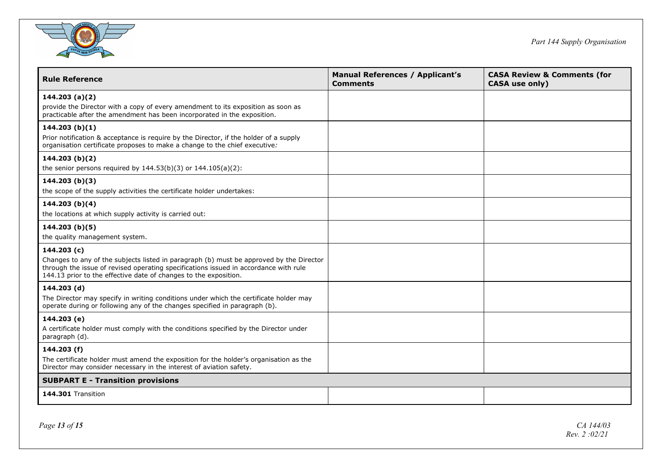

| <b>Rule Reference</b>                                                                                                                                                                                                                                              | <b>Manual References / Applicant's</b><br><b>Comments</b> | <b>CASA Review &amp; Comments (for</b><br><b>CASA use only)</b> |  |  |
|--------------------------------------------------------------------------------------------------------------------------------------------------------------------------------------------------------------------------------------------------------------------|-----------------------------------------------------------|-----------------------------------------------------------------|--|--|
| 144.203(a)(2)<br>provide the Director with a copy of every amendment to its exposition as soon as<br>practicable after the amendment has been incorporated in the exposition.                                                                                      |                                                           |                                                                 |  |  |
| 144.203(b)(1)<br>Prior notification & acceptance is require by the Director, if the holder of a supply<br>organisation certificate proposes to make a change to the chief executive:                                                                               |                                                           |                                                                 |  |  |
| 144.203 (b)(2)<br>the senior persons required by $144.53(b)(3)$ or $144.105(a)(2)$ :                                                                                                                                                                               |                                                           |                                                                 |  |  |
| 144.203(b)(3)<br>the scope of the supply activities the certificate holder undertakes:                                                                                                                                                                             |                                                           |                                                                 |  |  |
| 144.203(b)(4)<br>the locations at which supply activity is carried out:                                                                                                                                                                                            |                                                           |                                                                 |  |  |
| 144.203(b)(5)<br>the quality management system.                                                                                                                                                                                                                    |                                                           |                                                                 |  |  |
| 144.203 (c)<br>Changes to any of the subjects listed in paragraph (b) must be approved by the Director<br>through the issue of revised operating specifications issued in accordance with rule<br>144.13 prior to the effective date of changes to the exposition. |                                                           |                                                                 |  |  |
| 144.203 (d)<br>The Director may specify in writing conditions under which the certificate holder may<br>operate during or following any of the changes specified in paragraph (b).                                                                                 |                                                           |                                                                 |  |  |
| 144.203 (e)<br>A certificate holder must comply with the conditions specified by the Director under<br>paragraph (d).                                                                                                                                              |                                                           |                                                                 |  |  |
| 144.203 (f)<br>The certificate holder must amend the exposition for the holder's organisation as the<br>Director may consider necessary in the interest of aviation safety.                                                                                        |                                                           |                                                                 |  |  |
| <b>SUBPART E - Transition provisions</b>                                                                                                                                                                                                                           |                                                           |                                                                 |  |  |
| 144.301 Transition                                                                                                                                                                                                                                                 |                                                           |                                                                 |  |  |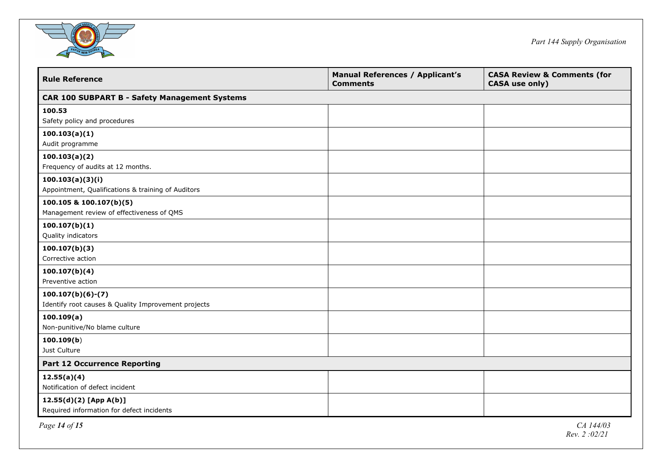

| <b>Rule Reference</b>                                | <b>Manual References / Applicant's</b><br><b>Comments</b> | <b>CASA Review &amp; Comments (for</b><br><b>CASA</b> use only) |  |  |
|------------------------------------------------------|-----------------------------------------------------------|-----------------------------------------------------------------|--|--|
| <b>CAR 100 SUBPART B - Safety Management Systems</b> |                                                           |                                                                 |  |  |
| 100.53                                               |                                                           |                                                                 |  |  |
| Safety policy and procedures                         |                                                           |                                                                 |  |  |
| 100.103(a)(1)<br>Audit programme                     |                                                           |                                                                 |  |  |
|                                                      |                                                           |                                                                 |  |  |
| 100.103(a)(2)<br>Frequency of audits at 12 months.   |                                                           |                                                                 |  |  |
| 100.103(a)(3)(i)                                     |                                                           |                                                                 |  |  |
| Appointment, Qualifications & training of Auditors   |                                                           |                                                                 |  |  |
| 100.105 & 100.107(b)(5)                              |                                                           |                                                                 |  |  |
| Management review of effectiveness of QMS            |                                                           |                                                                 |  |  |
| 100.107(b)(1)                                        |                                                           |                                                                 |  |  |
| Quality indicators                                   |                                                           |                                                                 |  |  |
| 100.107(b)(3)                                        |                                                           |                                                                 |  |  |
| Corrective action                                    |                                                           |                                                                 |  |  |
| 100.107(b)(4)                                        |                                                           |                                                                 |  |  |
| Preventive action                                    |                                                           |                                                                 |  |  |
| $100.107(b)(6)-(7)$                                  |                                                           |                                                                 |  |  |
| Identify root causes & Quality Improvement projects  |                                                           |                                                                 |  |  |
| 100.109(a)                                           |                                                           |                                                                 |  |  |
| Non-punitive/No blame culture                        |                                                           |                                                                 |  |  |
| 100.109(b)                                           |                                                           |                                                                 |  |  |
| Just Culture                                         |                                                           |                                                                 |  |  |
| <b>Part 12 Occurrence Reporting</b>                  |                                                           |                                                                 |  |  |
| 12.55(a)(4)                                          |                                                           |                                                                 |  |  |
| Notification of defect incident                      |                                                           |                                                                 |  |  |
| $12.55(d)(2)$ [App A(b)]                             |                                                           |                                                                 |  |  |
| Required information for defect incidents            |                                                           |                                                                 |  |  |
| Page 14 of 15                                        |                                                           | CA 144/03                                                       |  |  |